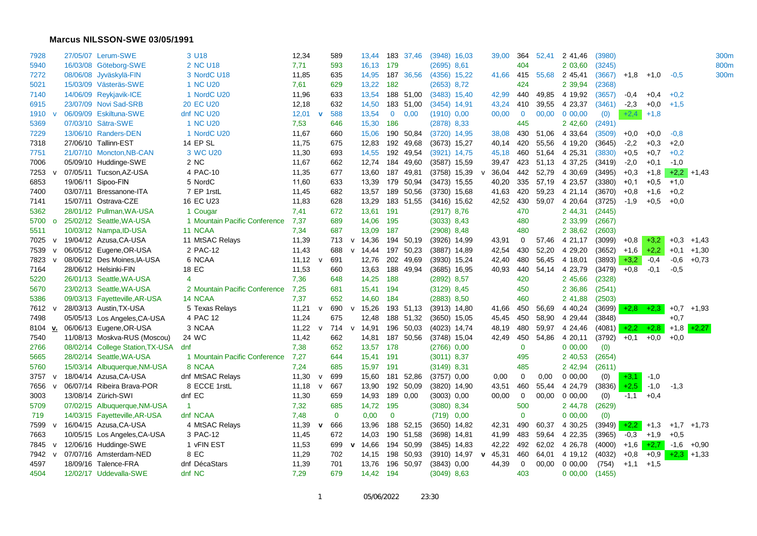## **Marcus NILSSON-SWE 03/05/1991**

| 7928    |              | 27/05/07 Lerum-SWE               | 3 U18                         | 12,34 |              | 589          |              | 13,44           |              | 183 37,46       | $(3948)$ 16,03 |             | 39,00 | 364         | 52,41 | 2 41,46    | (3980)        |        |        |        |                   | 300m |
|---------|--------------|----------------------------------|-------------------------------|-------|--------------|--------------|--------------|-----------------|--------------|-----------------|----------------|-------------|-------|-------------|-------|------------|---------------|--------|--------|--------|-------------------|------|
| 5940    |              | 16/03/08 Göteborg-SWE            | 2 NC U18                      | 7,71  |              | 593          |              | 16,13 179       |              |                 | (2695) 8,61    |             |       | 404         |       | 2 03,60    | (3245)        |        |        |        |                   | 800m |
| 7272    |              | 08/06/08 Jyväskylä-FIN           | 3 NordC U18                   | 11,85 |              | 635          |              | 14,95           |              | 187 36,56       | $(4356)$ 15,22 |             | 41,66 | 415         | 55,68 | 2 45,41    | (3667)        | $+1,8$ | $+1,0$ | $-0,5$ |                   | 300m |
| 5021    |              | 15/03/09 Västeräs-SWE            | 1 NC U20                      | 7,61  |              | 629          |              | 13,22           | 182          |                 | $(2653)$ 8,72  |             |       | 424         |       | 2 39,94    | (2368)        |        |        |        |                   |      |
| 7140    |              | 14/06/09 Reykjavik-ICE           | 1 NordC U20                   | 11,96 |              | 633          |              | 13,54           |              | 188 51,00       | $(3483)$ 15,40 |             | 42,99 | 440         | 49.85 | 4 19,92    | (3657)        | -0.4   | $+0.4$ | $+0,2$ |                   |      |
| 6915    |              | 23/07/09 Novi Sad-SRB            | <b>20 EC U20</b>              | 12,18 |              | 632          |              | 14,50           |              | 183 51,00       | $(3454)$ 14,91 |             | 43,24 | 410         | 39,55 | 4 23,37    | (3461)        | $-2,3$ | $+0.0$ | $+1,5$ |                   |      |
| 1910    |              | 06/09/09 Eskiltuna-SWE           | dnf NC U20                    | 12,01 | $\mathbf v$  | 588          |              | 13,54           | $\mathbf{0}$ | 0,00            | $(1910)$ 0,00  |             | 00,00 | $\mathbf 0$ | 00,00 | $0\,00,00$ | (0)           | $+2,4$ | $+1,8$ |        |                   |      |
| 5369    |              | 07/03/10 Sätra-SWE               | 1 NC U20                      | 7,53  |              | 646          |              | 15,30           | 186          |                 | $(2878)$ 8,33  |             |       | 445         |       | 2 42,60    | (2491)        |        |        |        |                   |      |
| 7229    |              | 13/06/10 Randers-DEN             | 1 NordC U20                   | 11,67 |              | 660          |              | 15,06           |              | 190 50,84       | $(3720)$ 14,95 |             | 38,08 | 430         | 51,06 | 4 33,64    | (3509)        | $+0,0$ | $+0,0$ | $-0.8$ |                   |      |
| 7318    |              | 27/06/10 Tallinn-EST             | <b>14 EP SL</b>               | 11,75 |              | 675          |              | 12,83           |              | 192 49,68       | $(3673)$ 15,27 |             | 40,14 | 420         | 55,56 | 4 19,20    | (3645)        | $-2,2$ | $+0,3$ | $+2,0$ |                   |      |
| 7751    |              | 21/07/10 Moncton, NB-CAN         | 3 WC U20                      | 11,30 |              | 693          |              | 14,55           |              | 192 49,54       | $(3921)$ 14,75 |             | 45,18 | 460         | 51,64 | 4 25,31    | (3830)        | $+0.5$ | $+0.7$ | $+0,2$ |                   |      |
| 7006    |              | 05/09/10 Huddinge-SWE            | 2 NC                          | 11,67 |              | 662          |              |                 |              | 12,74 184 49,60 | $(3587)$ 15,59 |             | 39,47 | 423         | 51,13 | 4 37,25    | (3419)        | $-2,0$ | $+0,1$ | $-1,0$ |                   |      |
| 7253    |              | 07/05/11 Tucson, AZ-USA          | 4 PAC-10                      | 11,35 |              | 677          |              | 13,60 187 49,81 |              |                 | $(3758)$ 15,39 | v           | 36,04 | 442         | 52,79 | 4 30.69    | (3495)        | $+0,3$ | $+1,8$ |        | $+2,2$ +1,43      |      |
| 6853    |              | 19/06/11 Sipoo-FIN               | 5 NordC                       | 11,60 |              | 633          |              | 13,39           |              | 179 50,94       | $(3473)$ 15,55 |             | 40,20 | 335         | 57,19 | 4 23,57    | (3380)        | $+0.1$ | $+0,5$ | $+1,0$ |                   |      |
| 7400    |              | 03/07/11 Bressanone-ITA          | 7 EP 1rstL                    | 11,45 |              | 682          |              | 13,57           |              | 189 50,56       | $(3730)$ 15,68 |             | 41,63 | 420         | 59,23 | 4 21,14    | (3670)        | $+0,8$ | $+1,6$ | $+0,2$ |                   |      |
| 7141    |              | 15/07/11 Ostrava-CZE             | 16 EC U23                     | 11,83 |              | 628          |              | 13,29           |              | 183 51,55       | $(3416)$ 15,62 |             | 42,52 | 430         | 59,07 | 4 20,64    | (3725)        | $-1,9$ | $+0.5$ | $+0.0$ |                   |      |
| 5362    |              | 28/01/12 Pullman, WA-USA         | 1 Cougar                      | 7,41  |              | 672          |              | 13,61 191       |              |                 | $(2917)$ 8,76  |             |       | 470         |       | 2 44,31    | (2445)        |        |        |        |                   |      |
| 5700    | $\Omega$     | 25/02/12 Seattle, WA-USA         | 1 Mountain Pacific Conference | 7,37  |              | 689          |              | 14,06 195       |              |                 | (3033) 8,43    |             |       | 480         |       | 2 33,99    | (2667)        |        |        |        |                   |      |
| 5511    |              | 10/03/12 Nampa, ID-USA           | 11 NCAA                       | 7,34  |              | 687          |              | 13,09 187       |              |                 | $(2908)$ 8,48  |             |       | 480         |       | 2 38,62    | (2603)        |        |        |        |                   |      |
| 7025    | $\mathsf{v}$ | 19/04/12 Azusa, CA-USA           | 11 MtSAC Relays               | 11,39 |              | 713          |              | v 14,36         |              | 194 50,19       | $(3926)$ 14,99 |             | 43,91 | 0           | 57,46 | 4 21,17    | (3099)        | $+0,8$ | $+3,2$ | $+0,3$ | $+1,43$           |      |
| 7539    |              | 06/05/12 Eugene, OR-USA          | 2 PAC-12                      | 11,43 |              | 688          | $\mathsf{v}$ | 14,44           |              | 197 50,23       | $(3887)$ 14,89 |             | 42,54 | 430         | 52,20 | 4 29,20    | (3652)        | $+1,6$ | $+2,2$ | $+0,1$ | $+1,30$           |      |
| 7823    |              | 08/06/12 Des Moines, IA-USA      | 6 NCAA                        | 11,12 | $\mathsf{v}$ | 691          |              | 12,76 202 49,69 |              |                 | $(3930)$ 15,24 |             | 42,40 | 480         | 56,45 | 4 18,01    | $(3893) +3,2$ |        | $-0,4$ | $-0,6$ | $+0,73$           |      |
| 7164    |              | 28/06/12 Helsinki-FIN            | 18 EC                         | 11,53 |              | 660          |              | 13,63           |              | 188 49,94       | $(3685)$ 16,95 |             | 40,93 | 440         | 54,14 | 4 23,79    | (3479)        | $+0.8$ | $-0,1$ | $-0,5$ |                   |      |
| 5220    |              | 26/01/13 Seattle, WA-USA         | $\overline{4}$                | 7,36  |              | 648          |              | 14,25           | 188          |                 | $(2892)$ 8,57  |             |       | 420         |       | 2 45,66    | (2328)        |        |        |        |                   |      |
| 5670    |              | 23/02/13 Seattle, WA-USA         | 2 Mountain Pacific Conference | 7,25  |              | 681          |              | 15,41 194       |              |                 | $(3129)$ 8,45  |             |       | 450         |       | 2 36,86    | (2541)        |        |        |        |                   |      |
| 5386    |              | 09/03/13 Fayetteville, AR-USA    | 14 NCAA                       | 7,37  |              | 652          |              | 14,60 184       |              |                 | $(2883)$ 8,50  |             |       | 460         |       | 2 41,88    | (2503)        |        |        |        |                   |      |
| 7612 v  |              | 28/03/13 Austin, TX-USA          | 5 Texas Relays                | 11,21 | $\mathsf{v}$ | 690          | $\mathsf{v}$ | 15,26           |              | 193 51,13       | $(3913)$ 14,80 |             | 41,66 | 450         | 56,69 | 4 40,24    | $(3699) +2.8$ |        | $+2,3$ |        | $+0.7$ $+1.93$    |      |
| 7498    |              | 05/05/13 Los Angeles, CA-USA     | 4 PAC 12                      | 11,24 |              | 675          |              | 12,48           |              | 188 51,32       | $(3650)$ 15,05 |             | 45,45 | 450         | 58,90 | 4 29,44    | (3848)        |        |        | $+0,7$ |                   |      |
| 8104 v. |              | 06/06/13 Eugene,OR-USA           | 3 NCAA                        | 11,22 | $\mathsf{v}$ | 714          | $\mathbf v$  | 14,91           |              | 196 50,03       | $(4023)$ 14,74 |             | 48,19 | 480         | 59,97 | 4 24,46    | $(4081)$ +2,2 |        | $+2,8$ |        | $+1,8$ $+2,27$    |      |
| 7540    |              | 11/08/13 Moskva-RUS (Moscou)     | 24 WC                         | 11,42 |              | 662          |              | 14,81           |              | 187 50,56       | $(3748)$ 15,04 |             | 42,49 | 450         | 54,86 | 4 20,11    | (3792)        | $+0.1$ | $+0.0$ | $+0,0$ |                   |      |
| 2766    |              | 08/02/14 College Station, TX-USA | dnf                           | 7,38  |              | 652          |              | 13,57 178       |              |                 | $(2766)$ 0,00  |             |       | 0           |       | 0 00,00    | (0)           |        |        |        |                   |      |
| 5665    |              | 28/02/14 Seattle, WA-USA         | 1 Mountain Pacific Conference | 7,27  |              | 644          |              | 15,41 191       |              |                 | $(3011)$ 8,37  |             |       | 495         |       | 2 40,53    | (2654)        |        |        |        |                   |      |
| 5760    |              | 15/03/14 Albuquerque, NM-USA     | 8 NCAA                        | 7,24  |              | 685          |              | 15,97 191       |              |                 | $(3149)$ 8,31  |             |       | 485         |       | 2 42,94    | (2611)        |        |        |        |                   |      |
| 3757 v  |              | 18/04/14 Azusa, CA-USA           | dnf MtSAC Relays              | 11,30 | V            | 699          |              | 15,60           |              | 181 52,86       | $(3757)$ 0,00  |             | 0,00  | 0           | 0,00  | 0 00,00    | (0)           | $+3,1$ | $-1,0$ |        |                   |      |
| 7656    |              | 06/07/14 Ribeira Brava-POR       | 8 ECCE 1rstL                  | 11,18 | $\mathsf{v}$ | 667          |              | 13,90           |              | 192 50,09       | $(3820)$ 14,90 |             | 43,51 | 460         | 55,44 | 4 24,79    | (3836)        | $+2,5$ | $-1,0$ | $-1,3$ |                   |      |
| 3003    |              | 13/08/14 Zürich-SWI              | dnf EC                        | 11,30 |              | 659          |              | 14,93           |              | 189 0,00        | $(3003)$ 0,00  |             | 00,00 | 0           | 00,00 | 0 00,00    | (0)           | $-1,1$ | $+0,4$ |        |                   |      |
| 5709    |              | 07/02/15 Albuquerque, NM-USA     | $\blacktriangleleft$          | 7,32  |              | 685          |              | 14,72 195       |              |                 | $(3080)$ 8,34  |             |       | 500         |       | 2 44,78    | (2629)        |        |        |        |                   |      |
| 719     |              | 14/03/15 Fayetteville, AR-USA    | dnf NCAA                      | 7,48  |              | $\mathbf{0}$ |              | 0,00            | $\mathbf 0$  |                 | $(719)$ 0,00   |             |       | 0           |       | 0 00,00    | (0)           |        |        |        |                   |      |
| 7599    |              | 16/04/15 Azusa, CA-USA           | 4 MtSAC Relays                | 11,39 | $\mathbf{v}$ | 666          |              | 13,96           |              | 188 52,15       | $(3650)$ 14,82 |             | 42,31 | 490         | 60,37 | 4 30,25    | $(3949) +2,2$ |        | $+1,3$ |        | $+1,7$ $+1,73$    |      |
| 7663    |              | 10/05/15 Los Angeles, CA-USA     | 3 PAC-12                      | 11,45 |              | 672          |              | 14,03           |              | 190 51,58       | $(3698)$ 14,81 |             | 41,99 | 483         | 59,64 | 4 22,35    | (3965)        | $-0,3$ | $+1,9$ | $+0,5$ |                   |      |
| 7845 v  |              | 12/06/16 Huddinge-SWE            | 1 vFIN EST                    | 11,53 |              | 699          | $\mathbf{v}$ | 14,66           |              | 194 50,99       | $(3845)$ 14,83 |             | 42,22 | 492         | 62,02 | 4 26,78    | (4000)        | $+1,6$ |        |        | $+2,7$ -1,6 +0,90 |      |
| 7942    |              | 07/07/16 Amsterdam-NED           | 8 EC                          | 11,29 |              | 702          |              |                 |              | 14,15 198 50,93 | $(3910)$ 14,97 | $\mathbf v$ | 45,31 | 460         | 64,01 | 4 19,12    | (4032)        | $+0,8$ | $+0,9$ |        | $+2,3$ +1,33      |      |
| 4597    |              | 18/09/16 Talence-FRA             | dnf DécaStars                 | 11,39 |              | 701          |              | 13,76           |              | 196 50,97       | $(3843)$ 0.00  |             | 44,39 | 0           | 00,00 | 0 00,00    | (754)         | $+1,1$ | $+1,5$ |        |                   |      |
| 4504    |              | 12/02/17 Uddevalla-SWE           | dnf NC                        | 7,29  |              | 679          |              | 14,42 194       |              |                 | $(3049)$ 8,63  |             |       | 403         |       | $0\,00,00$ | (1455)        |        |        |        |                   |      |
|         |              |                                  |                               |       |              |              |              |                 |              |                 |                |             |       |             |       |            |               |        |        |        |                   |      |

1 05/06/2022 23:30